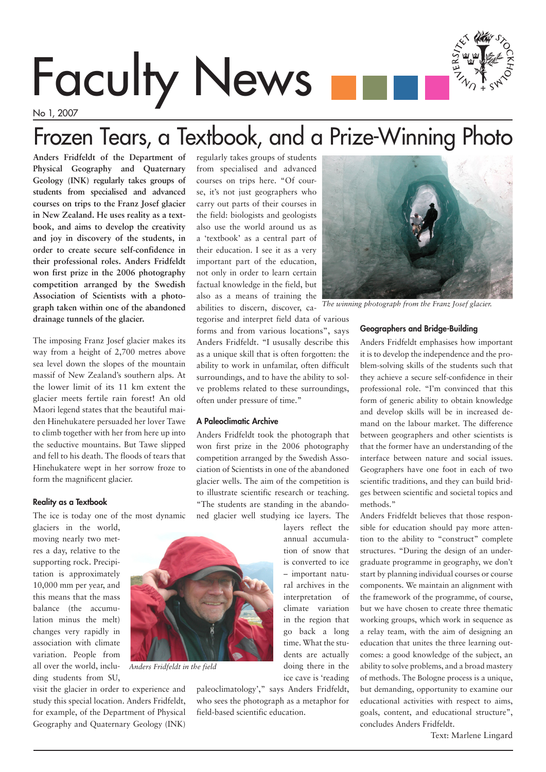# Faculty News

No 1, 2007

## Frozen Tears, a Textbook, and a Prize-Winning Photo

**Anders Fridfeldt of the Department of Physical Geography and Quaternary Geology (INK) regularly takes groups of students from specialised and advanced courses on trips to the Franz Josef glacier in New Zealand. He uses reality as a textbook, and aims to develop the creativity and joy in discovery of the students, in order to create secure self-confidence in their professional roles. Anders Fridfeldt won first prize in the 2006 photography competition arranged by the Swedish Association of Scientists with a photograph taken within one of the abandoned drainage tunnels of the glacier.**

The imposing Franz Josef glacier makes its way from a height of 2,700 metres above sea level down the slopes of the mountain massif of New Zealand's southern alps. At the lower limit of its 11 km extent the glacier meets fertile rain forest! An old Maori legend states that the beautiful maiden Hinehukatere persuaded her lover Tawe to climb together with her from here up into the seductive mountains. But Tawe slipped and fell to his death. The floods of tears that Hinehukatere wept in her sorrow froze to form the magnificent glacier.

#### Reality as a Textbook

The ice is today one of the most dynamic

glaciers in the world, moving nearly two metres a day, relative to the supporting rock. Precipitation is approximately 10,000 mm per year, and this means that the mass balance (the accumulation minus the melt) changes very rapidly in association with climate variation. People from all over the world, including students from SU,

visit the glacier in order to experience and study this special location. Anders Fridfeldt, for example, of the Department of Physical Geography and Quaternary Geology (INK)

regularly takes groups of students from specialised and advanced courses on trips here. "Of course, it's not just geographers who carry out parts of their courses in the field: biologists and geologists also use the world around us as a 'textbook' as a central part of their education. I see it as a very important part of the education, not only in order to learn certain factual knowledge in the field, but also as a means of training the abilities to discern, discover, ca-

tegorise and interpret field data of various forms and from various locations", says Anders Fridfeldt. "I ususally describe this as a unique skill that is often forgotten: the ability to work in unfamilar, often difficult surroundings, and to have the ability to solve problems related to these surroundings, often under pressure of time."

#### A Paleoclimatic Archive

Anders Fridfeldt took the photograph that won first prize in the 2006 photography competition arranged by the Swedish Association of Scientists in one of the abandoned glacier wells. The aim of the competition is to illustrate scientific research or teaching. "The students are standing in the abandoned glacier well studying ice layers. The

> layers reflect the annual accumulation of snow that is converted to ice – important natural archives in the interpretation of climate variation in the region that go back a long time. What the students are actually doing there in the ice cave is 'reading

paleoclimatology'," says Anders Fridfeldt, who sees the photograph as a metaphor for field-based scientific education.

### Geographers and Bridge-Building

Anders Fridfeldt emphasises how important it is to develop the independence and the problem-solving skills of the students such that they achieve a secure self-confidence in their professional role. "I'm convinced that this form of generic ability to obtain knowledge and develop skills will be in increased demand on the labour market. The difference between geographers and other scientists is that the former have an understanding of the interface between nature and social issues. Geographers have one foot in each of two scientific traditions, and they can build bridges between scientific and societal topics and methods."

Anders Fridfeldt believes that those responsible for education should pay more attention to the ability to "construct" complete structures. "During the design of an undergraduate programme in geography, we don't start by planning individual courses or course components. We maintain an alignment with the framework of the programme, of course, but we have chosen to create three thematic working groups, which work in sequence as a relay team, with the aim of designing an education that unites the three learning outcomes: a good knowledge of the subject, an ability to solve problems, and a broad mastery of methods. The Bologne process is a unique, but demanding, opportunity to examine our educational activities with respect to aims, goals, content, and educational structure", concludes Anders Fridfeldt.

Text: Marlene Lingard